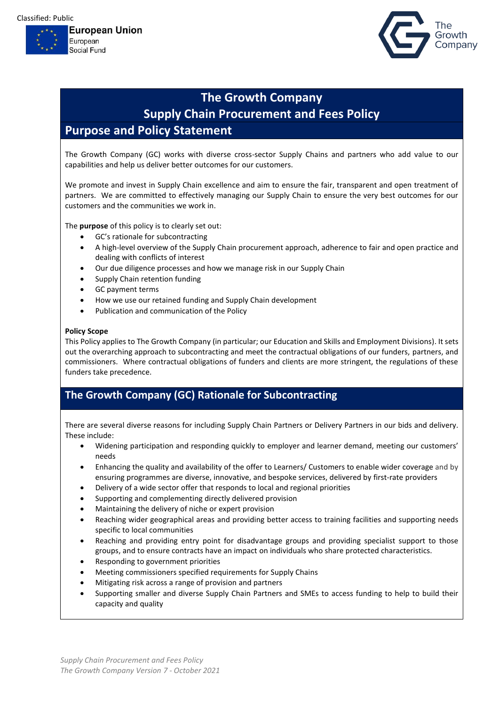Classified: Public





# **The Growth Company Supply Chain Procurement and Fees Policy Purpose and Policy Statement**

The Growth Company (GC) works with diverse cross-sector Supply Chains and partners who add value to our capabilities and help us deliver better outcomes for our customers.

We promote and invest in Supply Chain excellence and aim to ensure the fair, transparent and open treatment of partners. We are committed to effectively managing our Supply Chain to ensure the very best outcomes for our customers and the communities we work in.

The **purpose** of this policy is to clearly set out:

- GC's rationale for subcontracting
- A high-level overview of the Supply Chain procurement approach, adherence to fair and open practice and dealing with conflicts of interest
- Our due diligence processes and how we manage risk in our Supply Chain
- Supply Chain retention funding
- GC payment terms
- How we use our retained funding and Supply Chain development
- Publication and communication of the Policy

#### **Policy Scope**

This Policy applies to The Growth Company (in particular; our Education and Skills and Employment Divisions). It sets out the overarching approach to subcontracting and meet the contractual obligations of our funders, partners, and commissioners. Where contractual obligations of funders and clients are more stringent, the regulations of these funders take precedence.

## **The Growth Company (GC) Rationale for Subcontracting**

There are several diverse reasons for including Supply Chain Partners or Delivery Partners in our bids and delivery. These include:

- Widening participation and responding quickly to employer and learner demand, meeting our customers' needs
- Enhancing the quality and availability of the offer to Learners/ Customers to enable wider coverage and by ensuring programmes are diverse, innovative, and bespoke services, delivered by first-rate providers
- Delivery of a wide sector offer that responds to local and regional priorities
- Supporting and complementing directly delivered provision
- Maintaining the delivery of niche or expert provision
- Reaching wider geographical areas and providing better access to training facilities and supporting needs specific to local communities
- Reaching and providing entry point for disadvantage groups and providing specialist support to those groups, and to ensure contracts have an impact on individuals who share protected characteristics.
- Responding to government priorities
- Meeting commissioners specified requirements for Supply Chains
- Mitigating risk across a range of provision and partners
- Supporting smaller and diverse Supply Chain Partners and SMEs to access funding to help to build their capacity and quality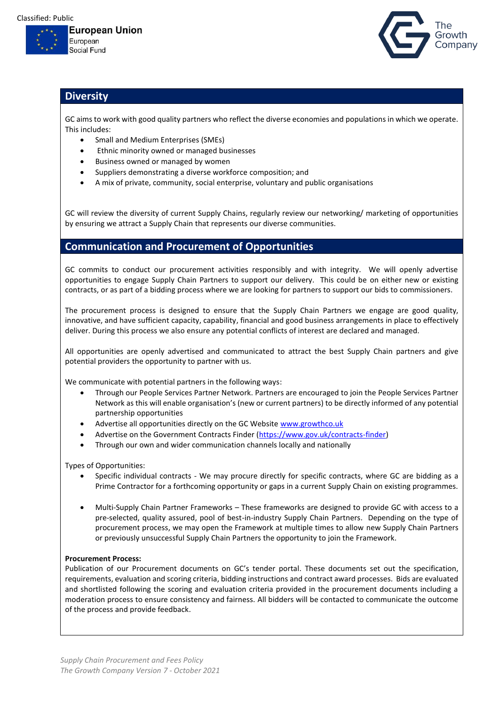



### **Diversity**

GC aims to work with good quality partners who reflect the diverse economies and populations in which we operate. This includes:

- Small and Medium Enterprises (SMEs)
- Ethnic minority owned or managed businesses
- Business owned or managed by women
- Suppliers demonstrating a diverse workforce composition; and
- A mix of private, community, social enterprise, voluntary and public organisations

GC will review the diversity of current Supply Chains, regularly review our networking/ marketing of opportunities by ensuring we attract a Supply Chain that represents our diverse communities.

### **Communication and Procurement of Opportunities**

GC commits to conduct our procurement activities responsibly and with integrity. We will openly advertise opportunities to engage Supply Chain Partners to support our delivery. This could be on either new or existing contracts, or as part of a bidding process where we are looking for partners to support our bids to commissioners.

The procurement process is designed to ensure that the Supply Chain Partners we engage are good quality, innovative, and have sufficient capacity, capability, financial and good business arrangements in place to effectively deliver. During this process we also ensure any potential conflicts of interest are declared and managed.

All opportunities are openly advertised and communicated to attract the best Supply Chain partners and give potential providers the opportunity to partner with us.

We communicate with potential partners in the following ways:

- Through our People Services Partner Network. Partners are encouraged to join the People Services Partner Network as this will enable organisation's (new or current partners) to be directly informed of any potential partnership opportunities
- Advertise all opportunities directly on the GC Websit[e www.growthco.uk](http://www.growthco.uk/)
- Advertise on the Government Contracts Finder [\(https://www.gov.uk/contracts-finder\)](https://www.gov.uk/contracts-finder)
- Through our own and wider communication channels locally and nationally

Types of Opportunities:

- Specific individual contracts We may procure directly for specific contracts, where GC are bidding as a Prime Contractor for a forthcoming opportunity or gaps in a current Supply Chain on existing programmes.
- Multi-Supply Chain Partner Frameworks These frameworks are designed to provide GC with access to a pre-selected, quality assured, pool of best-in-industry Supply Chain Partners. Depending on the type of procurement process, we may open the Framework at multiple times to allow new Supply Chain Partners or previously unsuccessful Supply Chain Partners the opportunity to join the Framework.

#### **Procurement Process:**

Publication of our Procurement documents on GC's tender portal. These documents set out the specification, requirements, evaluation and scoring criteria, bidding instructions and contract award processes. Bids are evaluated and shortlisted following the scoring and evaluation criteria provided in the procurement documents including a moderation process to ensure consistency and fairness. All bidders will be contacted to communicate the outcome of the process and provide feedback.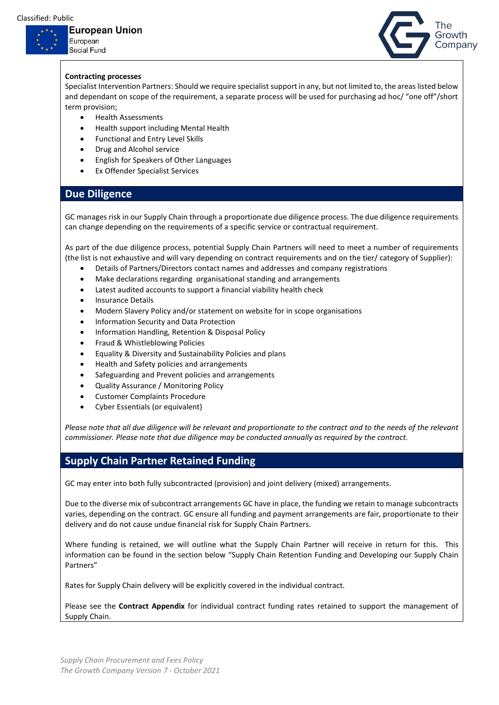## European Union

European Social Fund



#### **Contracting processes**

Specialist Intervention Partners: Should we require specialist support in any, but not limited to, the areas listed below and dependant on scope of the requirement, a separate process will be used for purchasing ad hoc/ "one off"/short term provision;

- Health Assessments
- Health support including Mental Health
- Functional and Entry Level Skills
- Drug and Alcohol service
- English for Speakers of Other Languages
- **Ex Offender Specialist Services**

#### **Due Diligence**

GC manages risk in our Supply Chain through a proportionate due diligence process. The due diligence requirements can change depending on the requirements of a specific service or contractual requirement.

As part of the due diligence process, potential Supply Chain Partners will need to meet a number of requirements (the list is not exhaustive and will vary depending on contract requirements and on the tier/ category of Supplier):

- Details of Partners/Directors contact names and addresses and company registrations
- Make declarations regarding organisational standing and arrangements
- Latest audited accounts to support a financial viability health check
- Insurance Details
- Modern Slavery Policy and/or statement on website for in scope organisations
- Information Security and Data Protection
- Information Handling, Retention & Disposal Policy
- Fraud & Whistleblowing Policies
- Equality & Diversity and Sustainability Policies and plans
- Health and Safety policies and arrangements
- Safeguarding and Prevent policies and arrangements
- Quality Assurance / Monitoring Policy
- Customer Complaints Procedure
- Cyber Essentials (or equivalent)

*Please note that all due diligence will be relevant and proportionate to the contract and to the needs of the relevant commissioner. Please note that due diligence may be conducted annually as required by the contract.* 

### **Supply Chain Partner Retained Funding**

GC may enter into both fully subcontracted (provision) and joint delivery (mixed) arrangements.

Due to the diverse mix of subcontract arrangements GC have in place, the funding we retain to manage subcontracts varies, depending on the contract. GC ensure all funding and payment arrangements are fair, proportionate to their delivery and do not cause undue financial risk for Supply Chain Partners.

Where funding is retained, we will outline what the Supply Chain Partner will receive in return for this. This information can be found in the section below "Supply Chain Retention Funding and Developing our Supply Chain Partners"

Rates for Supply Chain delivery will be explicitly covered in the individual contract.

Please see the **Contract Appendix** for individual contract funding rates retained to support the management of Supply Chain.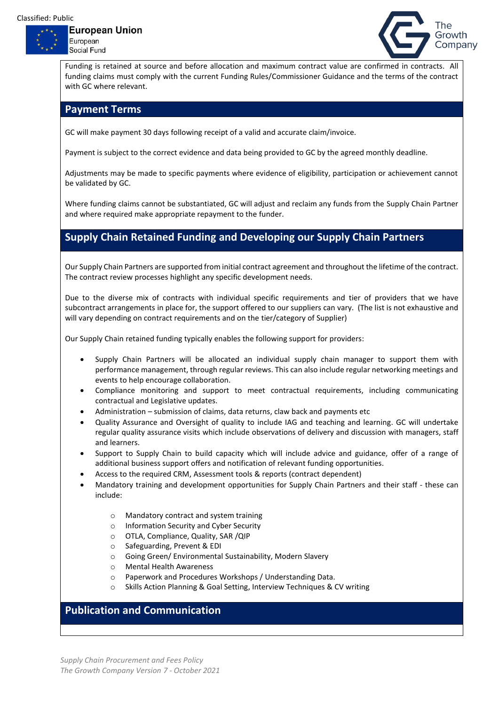European **Social Fund** 



Funding is retained at source and before allocation and maximum contract value are confirmed in contracts. All funding claims must comply with the current Funding Rules/Commissioner Guidance and the terms of the contract with GC where relevant.

#### **Payment Terms**

GC will make payment 30 days following receipt of a valid and accurate claim/invoice.

Payment is subject to the correct evidence and data being provided to GC by the agreed monthly deadline.

Adjustments may be made to specific payments where evidence of eligibility, participation or achievement cannot be validated by GC.

Where funding claims cannot be substantiated, GC will adjust and reclaim any funds from the Supply Chain Partner and where required make appropriate repayment to the funder.

## **Supply Chain Retained Funding and Developing our Supply Chain Partners**

Our Supply Chain Partners are supported from initial contract agreement and throughout the lifetime of the contract. The contract review processes highlight any specific development needs.

Due to the diverse mix of contracts with individual specific requirements and tier of providers that we have subcontract arrangements in place for, the support offered to our suppliers can vary. (The list is not exhaustive and will vary depending on contract requirements and on the tier/category of Supplier)

Our Supply Chain retained funding typically enables the following support for providers:

- Supply Chain Partners will be allocated an individual supply chain manager to support them with performance management, through regular reviews. This can also include regular networking meetings and events to help encourage collaboration.
- Compliance monitoring and support to meet contractual requirements, including communicating contractual and Legislative updates.
- Administration submission of claims, data returns, claw back and payments etc
- Quality Assurance and Oversight of quality to include IAG and teaching and learning. GC will undertake regular quality assurance visits which include observations of delivery and discussion with managers, staff and learners.
- Support to Supply Chain to build capacity which will include advice and guidance, offer of a range of additional business support offers and notification of relevant funding opportunities.
- Access to the required CRM, Assessment tools & reports (contract dependent)
- Mandatory training and development opportunities for Supply Chain Partners and their staff these can include:
	- o Mandatory contract and system training
	- o Information Security and Cyber Security
	- o OTLA, Compliance, Quality, SAR /QIP
	- o Safeguarding, Prevent & EDI
	- o Going Green/ Environmental Sustainability, Modern Slavery
	- o Mental Health Awareness
	- o Paperwork and Procedures Workshops / Understanding Data.
	- o Skills Action Planning & Goal Setting, Interview Techniques & CV writing

## **Publication and Communication**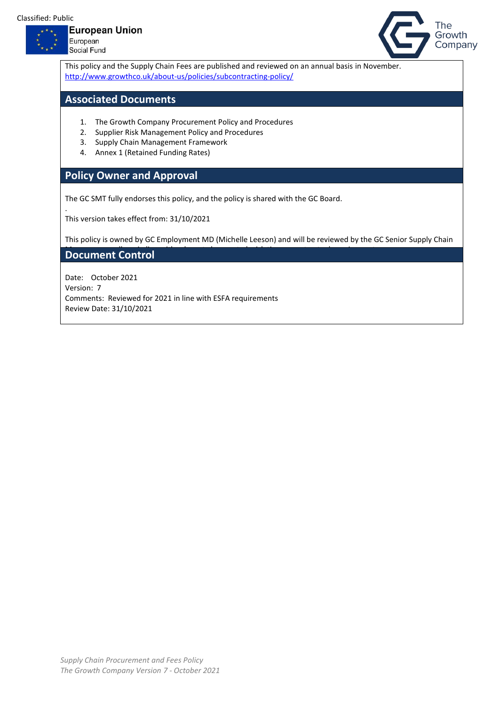

.



European Social Fund



This policy and the Supply Chain Fees are published and reviewed on an annual basis in November. <http://www.growthco.uk/about-us/policies/subcontracting-policy/>

### **Associated Documents**

- 1. The Growth Company Procurement Policy and Procedures
- 2. Supplier Risk Management Policy and Procedures
- 3. Supply Chain Management Framework
- 4. Annex 1 (Retained Funding Rates)

## **Policy Owner and Approval**

The GC SMT fully endorses this policy, and the policy is shared with the GC Board.

This version takes effect from: 31/10/2021

This policy is owned by GC Employment MD (Michelle Leeson) and will be reviewed by the GC Senior Supply Chain

#### **Document Control**

Date: October 2021 Version: 7 Comments: Reviewed for 2021 in line with ESFA requirements Review Date: 31/10/2021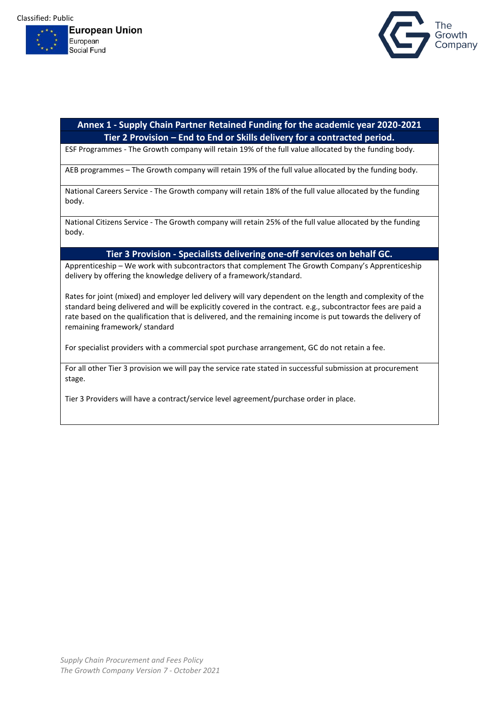



#### **Annex 1 - Supply Chain Partner Retained Funding for the academic year 2020-2021 Tier 2 Provision – End to End or Skills delivery for a contracted period.**

ESF Programmes - The Growth company will retain 19% of the full value allocated by the funding body.

AEB programmes – The Growth company will retain 19% of the full value allocated by the funding body.

National Careers Service - The Growth company will retain 18% of the full value allocated by the funding body.

National Citizens Service - The Growth company will retain 25% of the full value allocated by the funding body.

#### **Tier 3 Provision - Specialists delivering one-off services on behalf GC.**

Apprenticeship – We work with subcontractors that complement The Growth Company's Apprenticeship delivery by offering the knowledge delivery of a framework/standard.

Rates for joint (mixed) and employer led delivery will vary dependent on the length and complexity of the standard being delivered and will be explicitly covered in the contract. e.g., subcontractor fees are paid a rate based on the qualification that is delivered, and the remaining income is put towards the delivery of remaining framework/ standard

For specialist providers with a commercial spot purchase arrangement, GC do not retain a fee.

For all other Tier 3 provision we will pay the service rate stated in successful submission at procurement stage.

Tier 3 Providers will have a contract/service level agreement/purchase order in place.